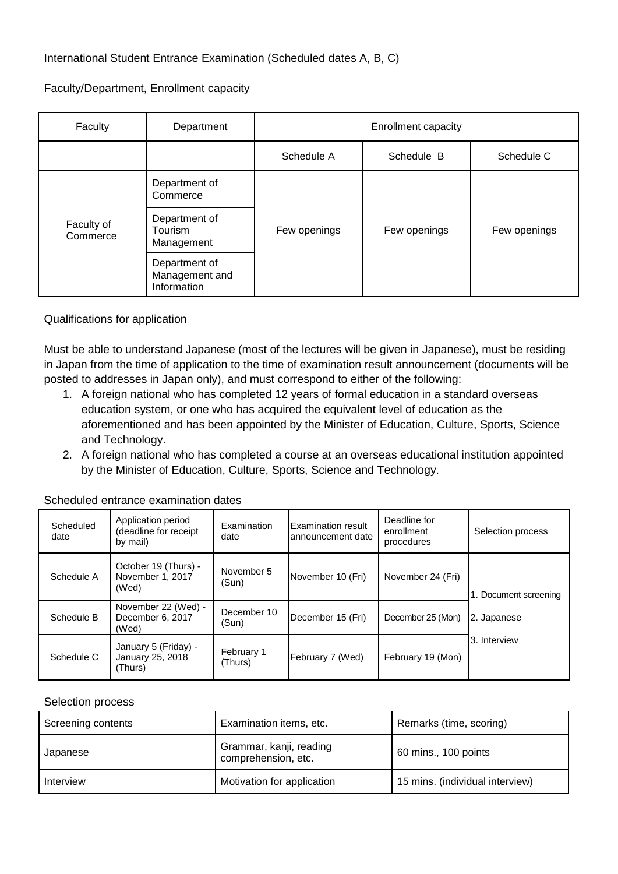Faculty/Department, Enrollment capacity

| Faculty                | Department                                     | <b>Enrollment capacity</b> |              |              |
|------------------------|------------------------------------------------|----------------------------|--------------|--------------|
|                        |                                                | Schedule A                 | Schedule B   | Schedule C   |
| Faculty of<br>Commerce | Department of<br>Commerce                      | Few openings               | Few openings | Few openings |
|                        | Department of<br><b>Tourism</b><br>Management  |                            |              |              |
|                        | Department of<br>Management and<br>Information |                            |              |              |

## Qualifications for application

Must be able to understand Japanese (most of the lectures will be given in Japanese), must be residing in Japan from the time of application to the time of examination result announcement (documents will be posted to addresses in Japan only), and must correspond to either of the following:

- 1. A foreign national who has completed 12 years of formal education in a standard overseas education system, or one who has acquired the equivalent level of education as the aforementioned and has been appointed by the Minister of Education, Culture, Sports, Science and Technology.
- 2. A foreign national who has completed a course at an overseas educational institution appointed by the Minister of Education, Culture, Sports, Science and Technology.

| Scheduled<br>date | Application period<br>(deadline for receipt<br>by mail) | Examination<br>date   | <b>Examination result</b><br>lannouncement date | Deadline for<br>enrollment<br>procedures | Selection process           |
|-------------------|---------------------------------------------------------|-----------------------|-------------------------------------------------|------------------------------------------|-----------------------------|
| Schedule A        | October 19 (Thurs) -<br>November 1, 2017<br>(Wed)       | November 5<br>(Sun)   | November 10 (Fri)                               | November 24 (Fri)                        | Document screening          |
| Schedule B        | November 22 (Wed) -<br>December 6, 2017<br>(Wed)        | December 10<br>(Sun)  | December 15 (Fri)                               | December 25 (Mon)                        | 2. Japanese<br>3. Interview |
| Schedule C        | January 5 (Friday) -<br>January 25, 2018<br>(Thurs)     | February 1<br>(Thurs) | February 7 (Wed)                                | February 19 (Mon)                        |                             |

Scheduled entrance examination dates

## Selection process

| Screening contents | Examination items, etc.                        | Remarks (time, scoring)         |
|--------------------|------------------------------------------------|---------------------------------|
| Japanese           | Grammar, kanji, reading<br>comprehension, etc. | 60 mins., 100 points            |
| Interview          | Motivation for application                     | 15 mins. (individual interview) |